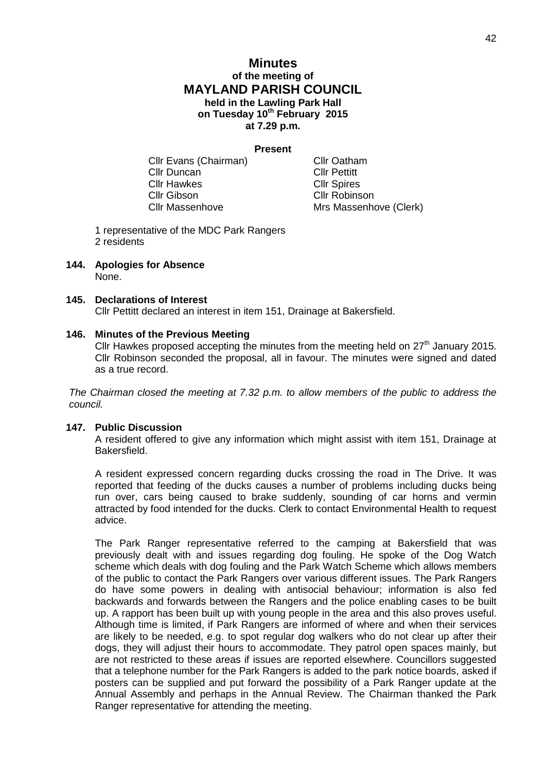# **Minutes of the meeting of MAYLAND PARISH COUNCIL held in the Lawling Park Hall on Tuesday 10th February 2015 at 7.29 p.m.**

### **Present**

Cllr Evans (Chairman) Cllr Oatham Cllr Duncan Cllr Pettitt **Cllr Hawkes** Cllr Spires Cllr Gibson Cllr Robinson

Cllr Massenhove Mrs Massenhove (Clerk)

1 representative of the MDC Park Rangers 2 residents

**144. Apologies for Absence** None.

## **145. Declarations of Interest**

Cllr Pettitt declared an interest in item 151, Drainage at Bakersfield.

### **146. Minutes of the Previous Meeting**

Cllr Hawkes proposed accepting the minutes from the meeting held on  $27<sup>th</sup>$  January 2015. Cllr Robinson seconded the proposal, all in favour. The minutes were signed and dated as a true record.

*The Chairman closed the meeting at 7.32 p.m. to allow members of the public to address the council.*

## **147. Public Discussion**

A resident offered to give any information which might assist with item 151, Drainage at Bakersfield.

A resident expressed concern regarding ducks crossing the road in The Drive. It was reported that feeding of the ducks causes a number of problems including ducks being run over, cars being caused to brake suddenly, sounding of car horns and vermin attracted by food intended for the ducks. Clerk to contact Environmental Health to request advice.

The Park Ranger representative referred to the camping at Bakersfield that was previously dealt with and issues regarding dog fouling. He spoke of the Dog Watch scheme which deals with dog fouling and the Park Watch Scheme which allows members of the public to contact the Park Rangers over various different issues. The Park Rangers do have some powers in dealing with antisocial behaviour; information is also fed backwards and forwards between the Rangers and the police enabling cases to be built up. A rapport has been built up with young people in the area and this also proves useful. Although time is limited, if Park Rangers are informed of where and when their services are likely to be needed, e.g. to spot regular dog walkers who do not clear up after their dogs, they will adjust their hours to accommodate. They patrol open spaces mainly, but are not restricted to these areas if issues are reported elsewhere. Councillors suggested that a telephone number for the Park Rangers is added to the park notice boards, asked if posters can be supplied and put forward the possibility of a Park Ranger update at the Annual Assembly and perhaps in the Annual Review. The Chairman thanked the Park Ranger representative for attending the meeting.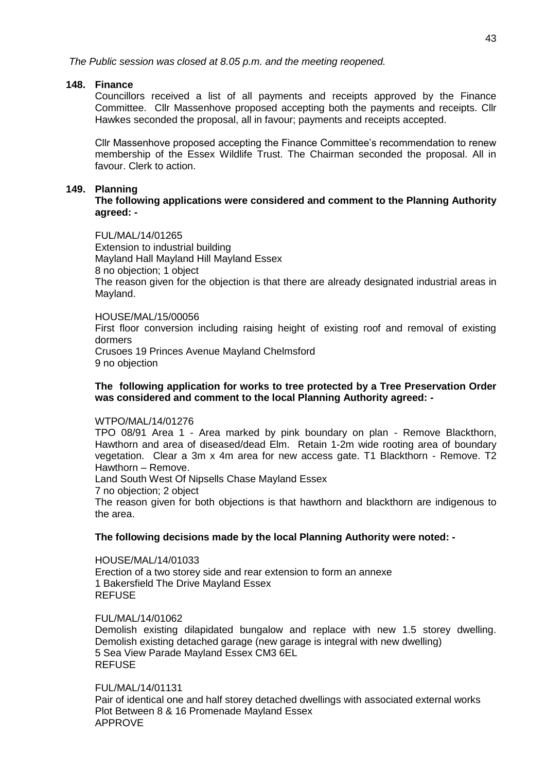*The Public session was closed at 8.05 p.m. and the meeting reopened.*

## **148. Finance**

Councillors received a list of all payments and receipts approved by the Finance Committee. Cllr Massenhove proposed accepting both the payments and receipts. Cllr Hawkes seconded the proposal, all in favour; payments and receipts accepted.

Cllr Massenhove proposed accepting the Finance Committee's recommendation to renew membership of the Essex Wildlife Trust. The Chairman seconded the proposal. All in favour. Clerk to action.

## **149. Planning**

**The following applications were considered and comment to the Planning Authority agreed: -**

FUL/MAL/14/01265 Extension to industrial building Mayland Hall Mayland Hill Mayland Essex 8 no objection; 1 object The reason given for the objection is that there are already designated industrial areas in Mayland.

## HOUSE/MAL/15/00056

First floor conversion including raising height of existing roof and removal of existing dormers Crusoes 19 Princes Avenue Mayland Chelmsford

9 no objection

## **The following application for works to tree protected by a Tree Preservation Order was considered and comment to the local Planning Authority agreed: -**

## WTPO/MAL/14/01276

TPO 08/91 Area 1 - Area marked by pink boundary on plan - Remove Blackthorn, Hawthorn and area of diseased/dead Elm. Retain 1-2m wide rooting area of boundary vegetation. Clear a 3m x 4m area for new access gate. T1 Blackthorn - Remove. T2 Hawthorn – Remove.

Land South West Of Nipsells Chase Mayland Essex

7 no objection; 2 object

The reason given for both objections is that hawthorn and blackthorn are indigenous to the area.

## **The following decisions made by the local Planning Authority were noted: -**

HOUSE/MAL/14/01033 Erection of a two storey side and rear extension to form an annexe 1 Bakersfield The Drive Mayland Essex **REFUSE** 

## FUL/MAL/14/01062

Demolish existing dilapidated bungalow and replace with new 1.5 storey dwelling. Demolish existing detached garage (new garage is integral with new dwelling) 5 Sea View Parade Mayland Essex CM3 6EL **REFUSE** 

## FUL/MAL/14/01131

Pair of identical one and half storey detached dwellings with associated external works Plot Between 8 & 16 Promenade Mayland Essex APPROVE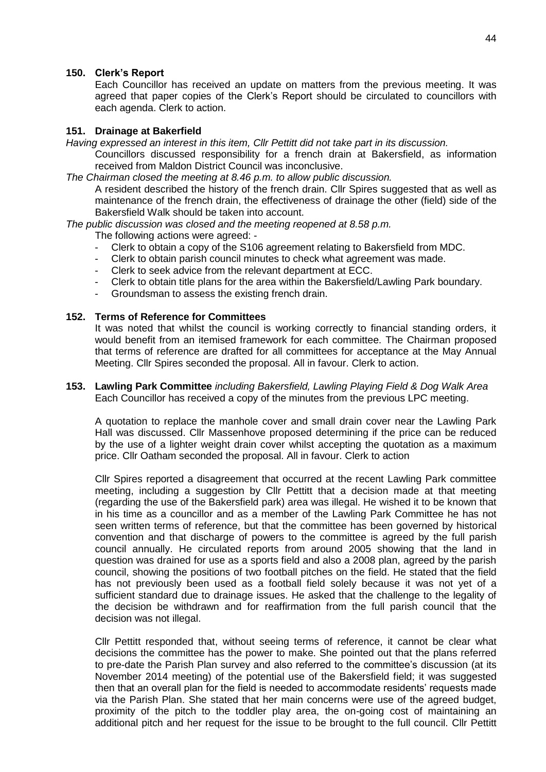## **150. Clerk's Report**

Each Councillor has received an update on matters from the previous meeting. It was agreed that paper copies of the Clerk's Report should be circulated to councillors with each agenda. Clerk to action.

## **151. Drainage at Bakerfield**

*Having expressed an interest in this item, Cllr Pettitt did not take part in its discussion.*

Councillors discussed responsibility for a french drain at Bakersfield, as information received from Maldon District Council was inconclusive.

*The Chairman closed the meeting at 8.46 p.m. to allow public discussion.*

A resident described the history of the french drain. Cllr Spires suggested that as well as maintenance of the french drain, the effectiveness of drainage the other (field) side of the Bakersfield Walk should be taken into account.

*The public discussion was closed and the meeting reopened at 8.58 p.m.*

The following actions were agreed: -

- Clerk to obtain a copy of the S106 agreement relating to Bakersfield from MDC.
- Clerk to obtain parish council minutes to check what agreement was made.
- Clerk to seek advice from the relevant department at ECC.
- Clerk to obtain title plans for the area within the Bakersfield/Lawling Park boundary.
- Groundsman to assess the existing french drain.

## **152. Terms of Reference for Committees**

It was noted that whilst the council is working correctly to financial standing orders, it would benefit from an itemised framework for each committee. The Chairman proposed that terms of reference are drafted for all committees for acceptance at the May Annual Meeting. Cllr Spires seconded the proposal. All in favour. Clerk to action.

## **153. Lawling Park Committee** *including Bakersfield, Lawling Playing Field & Dog Walk Area* Each Councillor has received a copy of the minutes from the previous LPC meeting.

A quotation to replace the manhole cover and small drain cover near the Lawling Park Hall was discussed. Cllr Massenhove proposed determining if the price can be reduced by the use of a lighter weight drain cover whilst accepting the quotation as a maximum price. Cllr Oatham seconded the proposal. All in favour. Clerk to action

Cllr Spires reported a disagreement that occurred at the recent Lawling Park committee meeting, including a suggestion by Cllr Pettitt that a decision made at that meeting (regarding the use of the Bakersfield park) area was illegal. He wished it to be known that in his time as a councillor and as a member of the Lawling Park Committee he has not seen written terms of reference, but that the committee has been governed by historical convention and that discharge of powers to the committee is agreed by the full parish council annually. He circulated reports from around 2005 showing that the land in question was drained for use as a sports field and also a 2008 plan, agreed by the parish council, showing the positions of two football pitches on the field. He stated that the field has not previously been used as a football field solely because it was not yet of a sufficient standard due to drainage issues. He asked that the challenge to the legality of the decision be withdrawn and for reaffirmation from the full parish council that the decision was not illegal.

Cllr Pettitt responded that, without seeing terms of reference, it cannot be clear what decisions the committee has the power to make. She pointed out that the plans referred to pre-date the Parish Plan survey and also referred to the committee's discussion (at its November 2014 meeting) of the potential use of the Bakersfield field; it was suggested then that an overall plan for the field is needed to accommodate residents' requests made via the Parish Plan. She stated that her main concerns were use of the agreed budget, proximity of the pitch to the toddler play area, the on-going cost of maintaining an additional pitch and her request for the issue to be brought to the full council. Cllr Pettitt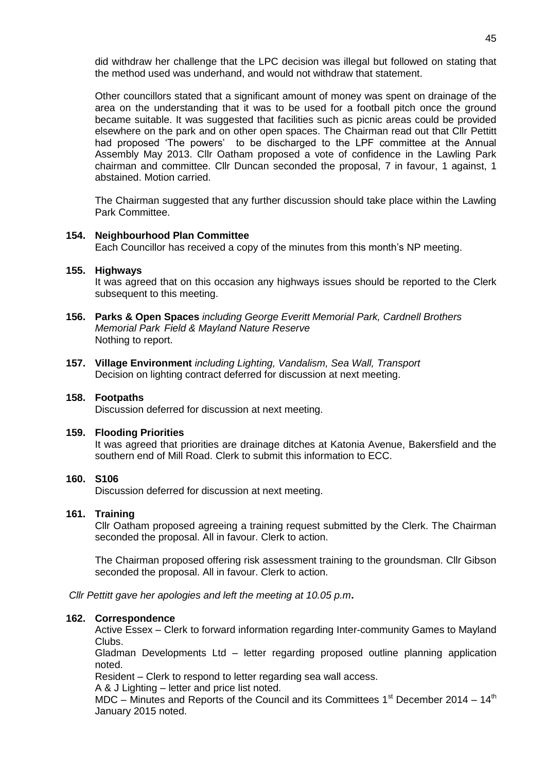did withdraw her challenge that the LPC decision was illegal but followed on stating that the method used was underhand, and would not withdraw that statement.

Other councillors stated that a significant amount of money was spent on drainage of the area on the understanding that it was to be used for a football pitch once the ground became suitable. It was suggested that facilities such as picnic areas could be provided elsewhere on the park and on other open spaces. The Chairman read out that Cllr Pettitt had proposed 'The powers' to be discharged to the LPF committee at the Annual Assembly May 2013. Cllr Oatham proposed a vote of confidence in the Lawling Park chairman and committee. Cllr Duncan seconded the proposal, 7 in favour, 1 against, 1 abstained. Motion carried.

The Chairman suggested that any further discussion should take place within the Lawling Park Committee.

### **154. Neighbourhood Plan Committee**

Each Councillor has received a copy of the minutes from this month's NP meeting.

### **155. Highways**

It was agreed that on this occasion any highways issues should be reported to the Clerk subsequent to this meeting.

- **156. Parks & Open Spaces** *including George Everitt Memorial Park, Cardnell Brothers Memorial Park Field & Mayland Nature Reserve* Nothing to report.
- **157. Village Environment** *including Lighting, Vandalism, Sea Wall, Transport* Decision on lighting contract deferred for discussion at next meeting.

## **158. Footpaths**

Discussion deferred for discussion at next meeting.

### **159. Flooding Priorities**

It was agreed that priorities are drainage ditches at Katonia Avenue, Bakersfield and the southern end of Mill Road. Clerk to submit this information to ECC.

## **160. S106**

Discussion deferred for discussion at next meeting.

#### **161. Training**

Cllr Oatham proposed agreeing a training request submitted by the Clerk. The Chairman seconded the proposal. All in favour. Clerk to action.

The Chairman proposed offering risk assessment training to the groundsman. Cllr Gibson seconded the proposal. All in favour. Clerk to action.

*Cllr Pettitt gave her apologies and left the meeting at 10.05 p.m***.**

#### **162. Correspondence**

Active Essex – Clerk to forward information regarding Inter-community Games to Mayland Clubs.

Gladman Developments Ltd – letter regarding proposed outline planning application noted.

Resident – Clerk to respond to letter regarding sea wall access.

A & J Lighting – letter and price list noted.

MDC – Minutes and Reports of the Council and its Committees  $1<sup>st</sup>$  December 2014 –  $14<sup>th</sup>$ January 2015 noted.